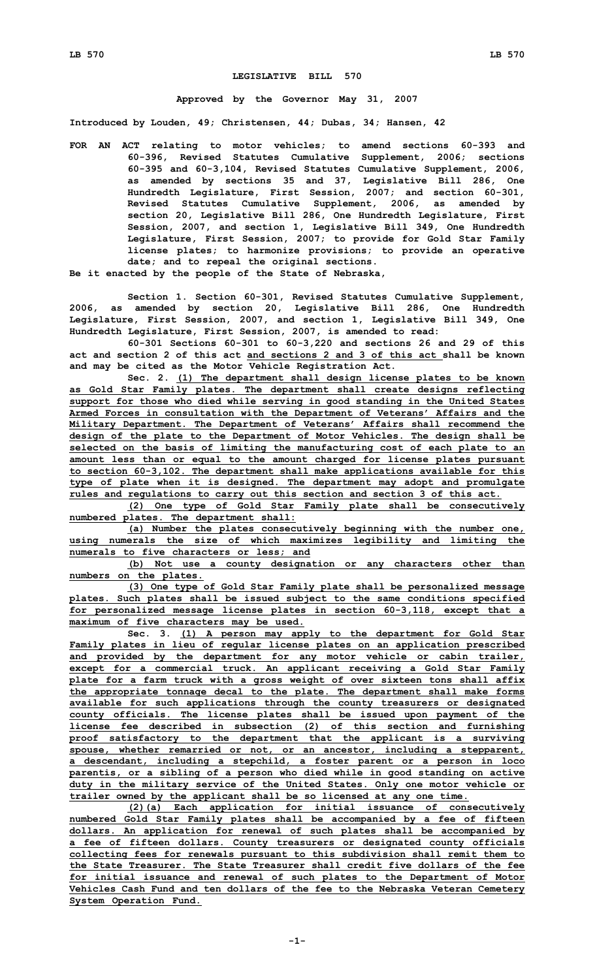## **LEGISLATIVE BILL 570**

## **Approved by the Governor May 31, 2007**

**Introduced by Louden, 49; Christensen, 44; Dubas, 34; Hansen, 42**

**FOR AN ACT relating to motor vehicles; to amend sections 60-393 and 60-396, Revised Statutes Cumulative Supplement, 2006; sections 60-395 and 60-3,104, Revised Statutes Cumulative Supplement, 2006, as amended by sections 35 and 37, Legislative Bill 286, One Hundredth Legislature, First Session, 2007; and section 60-301, Revised Statutes Cumulative Supplement, 2006, as amended by section 20, Legislative Bill 286, One Hundredth Legislature, First Session, 2007, and section 1, Legislative Bill 349, One Hundredth Legislature, First Session, 2007; to provide for Gold Star Family license plates; to harmonize provisions; to provide an operative date; and to repeal the original sections.**

**Be it enacted by the people of the State of Nebraska,**

**Section 1. Section 60-301, Revised Statutes Cumulative Supplement, 2006, as amended by section 20, Legislative Bill 286, One Hundredth Legislature, First Session, 2007, and section 1, Legislative Bill 349, One Hundredth Legislature, First Session, 2007, is amended to read:**

**60-301 Sections 60-301 to 60-3,220 and sections 26 and 29 of this act and section 2 of this act and sections 2 and 3 of this act shall be known and may be cited as the Motor Vehicle Registration Act.**

**Sec. 2. (1) The department shall design license plates to be known as Gold Star Family plates. The department shall create designs reflecting support for those who died while serving in good standing in the United States Armed Forces in consultation with the Department of Veterans' Affairs and the Military Department. The Department of Veterans' Affairs shall recommend the design of the plate to the Department of Motor Vehicles. The design shall be selected on the basis of limiting the manufacturing cost of each plate to an amount less than or equal to the amount charged for license plates pursuant to section 60-3,102. The department shall make applications available for this type of plate when it is designed. The department may adopt and promulgate rules and regulations to carry out this section and section 3 of this act.**

**(2) One type of Gold Star Family plate shall be consecutively numbered plates. The department shall:**

**(a) Number the plates consecutively beginning with the number one, using numerals the size of which maximizes legibility and limiting the numerals to five characters or less; and**

**(b) Not use <sup>a</sup> county designation or any characters other than numbers on the plates.**

**(3) One type of Gold Star Family plate shall be personalized message plates. Such plates shall be issued subject to the same conditions specified for personalized message license plates in section 60-3,118, except that <sup>a</sup> maximum of five characters may be used.**

**Sec. 3. (1) <sup>A</sup> person may apply to the department for Gold Star Family plates in lieu of regular license plates on an application prescribed and provided by the department for any motor vehicle or cabin trailer, except for <sup>a</sup> commercial truck. An applicant receiving <sup>a</sup> Gold Star Family plate for <sup>a</sup> farm truck with <sup>a</sup> gross weight of over sixteen tons shall affix the appropriate tonnage decal to the plate. The department shall make forms available for such applications through the county treasurers or designated county officials. The license plates shall be issued upon payment of the license fee described in subsection (2) of this section and furnishing proof satisfactory to the department that the applicant is <sup>a</sup> surviving spouse, whether remarried or not, or an ancestor, including <sup>a</sup> stepparent, <sup>a</sup> descendant, including <sup>a</sup> stepchild, <sup>a</sup> foster parent or <sup>a</sup> person in loco parentis, or <sup>a</sup> sibling of <sup>a</sup> person who died while in good standing on active duty in the military service of the United States. Only one motor vehicle or trailer owned by the applicant shall be so licensed at any one time.**

**(2)(a) Each application for initial issuance of consecutively numbered Gold Star Family plates shall be accompanied by <sup>a</sup> fee of fifteen dollars. An application for renewal of such plates shall be accompanied by <sup>a</sup> fee of fifteen dollars. County treasurers or designated county officials collecting fees for renewals pursuant to this subdivision shall remit them to the State Treasurer. The State Treasurer shall credit five dollars of the fee for initial issuance and renewal of such plates to the Department of Motor Vehicles Cash Fund and ten dollars of the fee to the Nebraska Veteran Cemetery System Operation Fund.**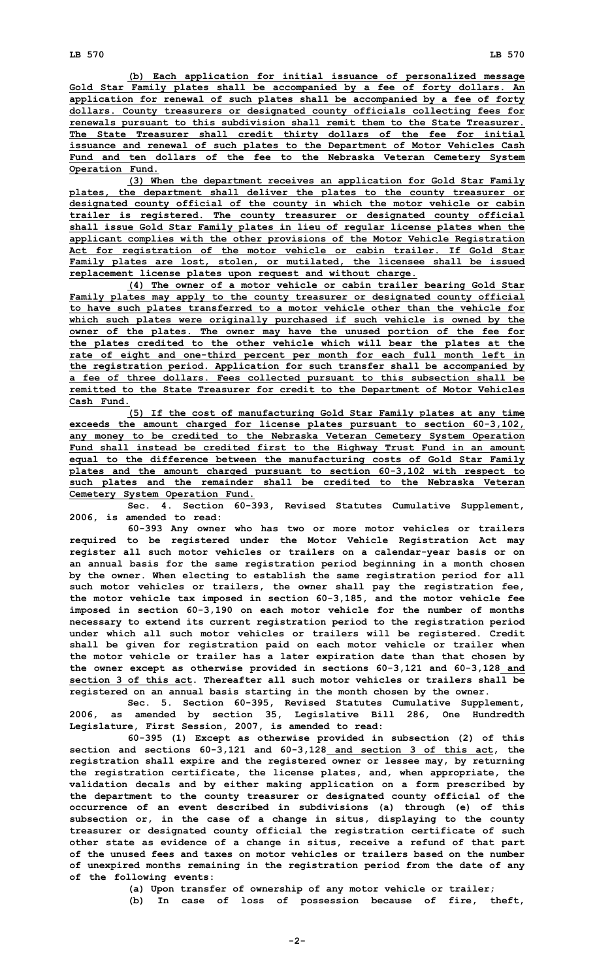**(b) Each application for initial issuance of personalized message Gold Star Family plates shall be accompanied by <sup>a</sup> fee of forty dollars. An application for renewal of such plates shall be accompanied by <sup>a</sup> fee of forty dollars. County treasurers or designated county officials collecting fees for renewals pursuant to this subdivision shall remit them to the State Treasurer. The State Treasurer shall credit thirty dollars of the fee for initial issuance and renewal of such plates to the Department of Motor Vehicles Cash Fund and ten dollars of the fee to the Nebraska Veteran Cemetery System Operation Fund.**

**(3) When the department receives an application for Gold Star Family plates, the department shall deliver the plates to the county treasurer or designated county official of the county in which the motor vehicle or cabin trailer is registered. The county treasurer or designated county official shall issue Gold Star Family plates in lieu of regular license plates when the applicant complies with the other provisions of the Motor Vehicle Registration Act for registration of the motor vehicle or cabin trailer. If Gold Star Family plates are lost, stolen, or mutilated, the licensee shall be issued replacement license plates upon request and without charge.**

**(4) The owner of <sup>a</sup> motor vehicle or cabin trailer bearing Gold Star Family plates may apply to the county treasurer or designated county official to have such plates transferred to <sup>a</sup> motor vehicle other than the vehicle for which such plates were originally purchased if such vehicle is owned by the owner of the plates. The owner may have the unused portion of the fee for the plates credited to the other vehicle which will bear the plates at the rate of eight and one-third percent per month for each full month left in the registration period. Application for such transfer shall be accompanied by <sup>a</sup> fee of three dollars. Fees collected pursuant to this subsection shall be remitted to the State Treasurer for credit to the Department of Motor Vehicles Cash Fund.**

**(5) If the cost of manufacturing Gold Star Family plates at any time exceeds the amount charged for license plates pursuant to section 60-3,102, any money to be credited to the Nebraska Veteran Cemetery System Operation Fund shall instead be credited first to the Highway Trust Fund in an amount equal to the difference between the manufacturing costs of Gold Star Family plates and the amount charged pursuant to section 60-3,102 with respect to such plates and the remainder shall be credited to the Nebraska Veteran Cemetery System Operation Fund.**

**Sec. 4. Section 60-393, Revised Statutes Cumulative Supplement, 2006, is amended to read:**

**60-393 Any owner who has two or more motor vehicles or trailers required to be registered under the Motor Vehicle Registration Act may register all such motor vehicles or trailers on <sup>a</sup> calendar-year basis or on an annual basis for the same registration period beginning in <sup>a</sup> month chosen by the owner. When electing to establish the same registration period for all such motor vehicles or trailers, the owner shall pay the registration fee, the motor vehicle tax imposed in section 60-3,185, and the motor vehicle fee imposed in section 60-3,190 on each motor vehicle for the number of months necessary to extend its current registration period to the registration period under which all such motor vehicles or trailers will be registered. Credit shall be given for registration paid on each motor vehicle or trailer when the motor vehicle or trailer has <sup>a</sup> later expiration date than that chosen by the owner except as otherwise provided in sections 60-3,121 and 60-3,128 and section 3 of this act. Thereafter all such motor vehicles or trailers shall be registered on an annual basis starting in the month chosen by the owner.**

**Sec. 5. Section 60-395, Revised Statutes Cumulative Supplement, 2006, as amended by section 35, Legislative Bill 286, One Hundredth Legislature, First Session, 2007, is amended to read:**

**60-395 (1) Except as otherwise provided in subsection (2) of this section and sections 60-3,121 and 60-3,128 and section 3 of this act, the registration shall expire and the registered owner or lessee may, by returning the registration certificate, the license plates, and, when appropriate, the validation decals and by either making application on <sup>a</sup> form prescribed by the department to the county treasurer or designated county official of the occurrence of an event described in subdivisions (a) through (e) of this subsection or, in the case of <sup>a</sup> change in situs, displaying to the county treasurer or designated county official the registration certificate of such other state as evidence of <sup>a</sup> change in situs, receive <sup>a</sup> refund of that part of the unused fees and taxes on motor vehicles or trailers based on the number of unexpired months remaining in the registration period from the date of any of the following events:**

**(a) Upon transfer of ownership of any motor vehicle or trailer;**

**(b) In case of loss of possession because of fire, theft,**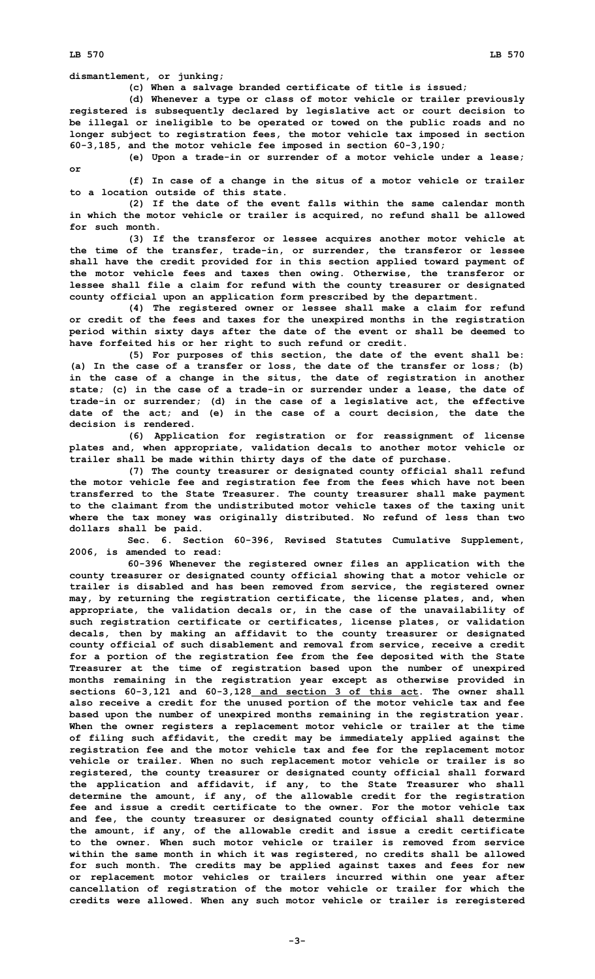**LB 570 LB 570**

**dismantlement, or junking;**

**(c) When <sup>a</sup> salvage branded certificate of title is issued;**

**(d) Whenever <sup>a</sup> type or class of motor vehicle or trailer previously registered is subsequently declared by legislative act or court decision to be illegal or ineligible to be operated or towed on the public roads and no longer subject to registration fees, the motor vehicle tax imposed in section 60-3,185, and the motor vehicle fee imposed in section 60-3,190;**

**(e) Upon <sup>a</sup> trade-in or surrender of <sup>a</sup> motor vehicle under <sup>a</sup> lease;**

**or**

**(f) In case of <sup>a</sup> change in the situs of <sup>a</sup> motor vehicle or trailer to a location outside of this state.**

**(2) If the date of the event falls within the same calendar month in which the motor vehicle or trailer is acquired, no refund shall be allowed for such month.**

**(3) If the transferor or lessee acquires another motor vehicle at the time of the transfer, trade-in, or surrender, the transferor or lessee shall have the credit provided for in this section applied toward payment of the motor vehicle fees and taxes then owing. Otherwise, the transferor or lessee shall file <sup>a</sup> claim for refund with the county treasurer or designated county official upon an application form prescribed by the department.**

**(4) The registered owner or lessee shall make <sup>a</sup> claim for refund or credit of the fees and taxes for the unexpired months in the registration period within sixty days after the date of the event or shall be deemed to have forfeited his or her right to such refund or credit.**

**(5) For purposes of this section, the date of the event shall be: (a) In the case of <sup>a</sup> transfer or loss, the date of the transfer or loss; (b) in the case of <sup>a</sup> change in the situs, the date of registration in another state; (c) in the case of <sup>a</sup> trade-in or surrender under <sup>a</sup> lease, the date of trade-in or surrender; (d) in the case of <sup>a</sup> legislative act, the effective date of the act; and (e) in the case of <sup>a</sup> court decision, the date the decision is rendered.**

**(6) Application for registration or for reassignment of license plates and, when appropriate, validation decals to another motor vehicle or trailer shall be made within thirty days of the date of purchase.**

**(7) The county treasurer or designated county official shall refund the motor vehicle fee and registration fee from the fees which have not been transferred to the State Treasurer. The county treasurer shall make payment to the claimant from the undistributed motor vehicle taxes of the taxing unit where the tax money was originally distributed. No refund of less than two dollars shall be paid.**

**Sec. 6. Section 60-396, Revised Statutes Cumulative Supplement, 2006, is amended to read:**

**60-396 Whenever the registered owner files an application with the county treasurer or designated county official showing that <sup>a</sup> motor vehicle or trailer is disabled and has been removed from service, the registered owner may, by returning the registration certificate, the license plates, and, when appropriate, the validation decals or, in the case of the unavailability of such registration certificate or certificates, license plates, or validation decals, then by making an affidavit to the county treasurer or designated county official of such disablement and removal from service, receive <sup>a</sup> credit for <sup>a</sup> portion of the registration fee from the fee deposited with the State Treasurer at the time of registration based upon the number of unexpired months remaining in the registration year except as otherwise provided in sections 60-3,121 and 60-3,128 and section 3 of this act. The owner shall also receive <sup>a</sup> credit for the unused portion of the motor vehicle tax and fee based upon the number of unexpired months remaining in the registration year. When the owner registers <sup>a</sup> replacement motor vehicle or trailer at the time of filing such affidavit, the credit may be immediately applied against the registration fee and the motor vehicle tax and fee for the replacement motor vehicle or trailer. When no such replacement motor vehicle or trailer is so registered, the county treasurer or designated county official shall forward the application and affidavit, if any, to the State Treasurer who shall determine the amount, if any, of the allowable credit for the registration fee and issue a credit certificate to the owner. For the motor vehicle tax and fee, the county treasurer or designated county official shall determine the amount, if any, of the allowable credit and issue <sup>a</sup> credit certificate to the owner. When such motor vehicle or trailer is removed from service within the same month in which it was registered, no credits shall be allowed for such month. The credits may be applied against taxes and fees for new or replacement motor vehicles or trailers incurred within one year after cancellation of registration of the motor vehicle or trailer for which the credits were allowed. When any such motor vehicle or trailer is reregistered**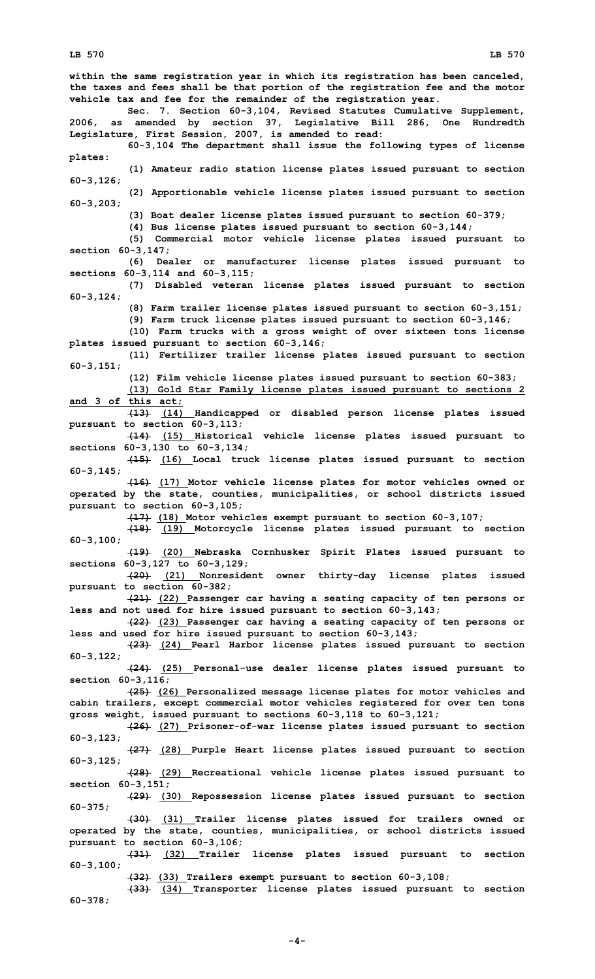**within the same registration year in which its registration has been canceled, the taxes and fees shall be that portion of the registration fee and the motor vehicle tax and fee for the remainder of the registration year. Sec. 7. Section 60-3,104, Revised Statutes Cumulative Supplement, 2006, as amended by section 37, Legislative Bill 286, One Hundredth Legislature, First Session, 2007, is amended to read: 60-3,104 The department shall issue the following types of license plates: (1) Amateur radio station license plates issued pursuant to section 60-3,126; (2) Apportionable vehicle license plates issued pursuant to section 60-3,203; (3) Boat dealer license plates issued pursuant to section 60-379; (4) Bus license plates issued pursuant to section 60-3,144; (5) Commercial motor vehicle license plates issued pursuant to section 60-3,147; (6) Dealer or manufacturer license plates issued pursuant to sections 60-3,114 and 60-3,115; (7) Disabled veteran license plates issued pursuant to section 60-3,124; (8) Farm trailer license plates issued pursuant to section 60-3,151; (9) Farm truck license plates issued pursuant to section 60-3,146; (10) Farm trucks with <sup>a</sup> gross weight of over sixteen tons license plates issued pursuant to section 60-3,146; (11) Fertilizer trailer license plates issued pursuant to section 60-3,151; (12) Film vehicle license plates issued pursuant to section 60-383; (13) Gold Star Family license plates issued pursuant to sections 2 and 3 of this act; (13) (14) Handicapped or disabled person license plates issued pursuant to section 60-3,113; (14) (15) Historical vehicle license plates issued pursuant to sections 60-3,130 to 60-3,134; (15) (16) Local truck license plates issued pursuant to section 60-3,145; (16) (17) Motor vehicle license plates for motor vehicles owned or operated by the state, counties, municipalities, or school districts issued pursuant to section 60-3,105; (17) (18) Motor vehicles exempt pursuant to section 60-3,107; (18) (19) Motorcycle license plates issued pursuant to section 60-3,100; (19) (20) Nebraska Cornhusker Spirit Plates issued pursuant to sections 60-3,127 to 60-3,129; (20) (21) Nonresident owner thirty-day license plates issued pursuant to section 60-382; (21) (22) Passenger car having <sup>a</sup> seating capacity of ten persons or less and not used for hire issued pursuant to section 60-3,143; (22) (23) Passenger car having <sup>a</sup> seating capacity of ten persons or less and used for hire issued pursuant to section 60-3,143; (23) (24) Pearl Harbor license plates issued pursuant to section 60-3,122; (24) (25) Personal-use dealer license plates issued pursuant to section 60-3,116; (25) (26) Personalized message license plates for motor vehicles and cabin trailers, except commercial motor vehicles registered for over ten tons gross weight, issued pursuant to sections 60-3,118 to 60-3,121; (26) (27) Prisoner-of-war license plates issued pursuant to section 60-3,123; (27) (28) Purple Heart license plates issued pursuant to section 60-3,125; (28) (29) Recreational vehicle license plates issued pursuant to section 60-3,151; (29) (30) Repossession license plates issued pursuant to section 60-375; (30) (31) Trailer license plates issued for trailers owned or operated by the state, counties, municipalities, or school districts issued pursuant to section 60-3,106; (31) (32) Trailer license plates issued pursuant to section 60-3,100; (32) (33) Trailers exempt pursuant to section 60-3,108; (33) (34) Transporter license plates issued pursuant to section 60-378;**

**-4-**